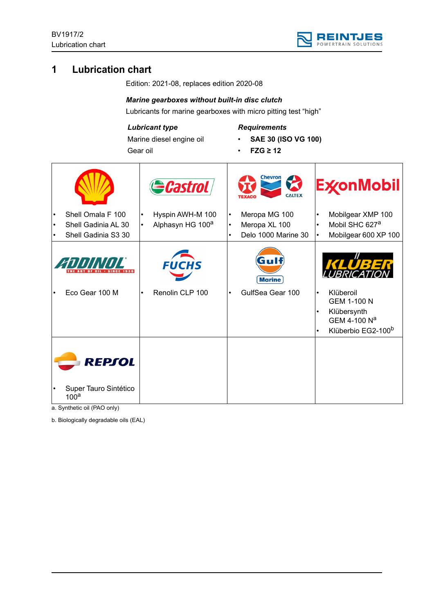

# **1 Lubrication chart**

Edition: 2021-08, replaces edition 2020-08

# *Marine gearboxes without built-in disc clutch*

Lubricants for marine gearboxes with micro pitting test "high"

# *Lubricant type*

Marine diesel engine oil Gear oil

# *Requirements*

- **SAE 30 (ISO VG 100)**
- **FZG ≥ 12**

|                                     |                                                                 |                | Castrol                                          |                                     | <b>Chevron</b><br>K<br><b>CALTEX</b>                  |                        | <b>ExconMobil</b>                                                                                            |
|-------------------------------------|-----------------------------------------------------------------|----------------|--------------------------------------------------|-------------------------------------|-------------------------------------------------------|------------------------|--------------------------------------------------------------------------------------------------------------|
| $\bullet$<br>$\bullet$<br>$\bullet$ | Shell Omala F 100<br>Shell Gadinia AL 30<br>Shell Gadinia S3 30 | ٠<br>$\bullet$ | Hyspin AWH-M 100<br>Alphasyn HG 100 <sup>a</sup> | $\bullet$<br>$\bullet$<br>$\bullet$ | Meropa MG 100<br>Meropa XL 100<br>Delo 1000 Marine 30 | $\bullet$              | Mobilgear XMP 100<br>Mobil SHC 627 <sup>a</sup><br>Mobilgear 600 XP 100                                      |
|                                     | ZODINIJE                                                        |                | <b>FUCHS</b>                                     |                                     | Gulf<br><b>Marine</b>                                 |                        | KLUBE                                                                                                        |
| $\bullet$                           | Eco Gear 100 M                                                  |                | Renolin CLP 100                                  | $\bullet$                           | GulfSea Gear 100                                      | $\bullet$<br>$\bullet$ | Klüberoil<br><b>GEM 1-100 N</b><br>Klübersynth<br>GEM 4-100 N <sup>a</sup><br>Klüberbio EG2-100 <sup>b</sup> |
|                                     | REPSOL<br>Super Tauro Sintético<br>100 <sup>a</sup>             |                |                                                  |                                     |                                                       |                        |                                                                                                              |

a. Synthetic oil (PAO only)

b. Biologically degradable oils (EAL)